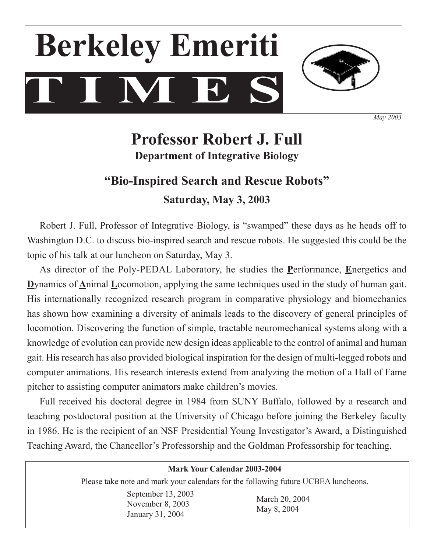# **T I M E S Berkeley Emeriti**



*May 2003*

# **Professor Robert J. Full Department of Integrative Biology**

## **"Bio-Inspired Search and Rescue Robots" Saturday, May 3, 2003**

Robert J. Full, Professor of Integrative Biology, is "swamped" these days as he heads off to Washington D.C. to discuss bio-inspired search and rescue robots. He suggested this could be the topic of his talk at our luncheon on Saturday, May 3.

 As director of the Poly-PEDAL Laboratory, he studies the **P**erformance, **E**nergetics and **D**ynamics of **A**nimal **L**ocomotion, applying the same techniques used in the study of human gait. His internationally recognized research program in comparative physiology and biomechanics has shown how examining a diversity of animals leads to the discovery of general principles of locomotion. Discovering the function of simple, tractable neuromechanical systems along with a knowledge of evolution can provide new design ideas applicable to the control of animal and human gait. His research has also provided biological inspiration for the design of multi-legged robots and computer animations. His research interests extend from analyzing the motion of a Hall of Fame pitcher to assisting computer animators make children's movies.

 Full received his doctoral degree in 1984 from SUNY Buffalo, followed by a research and teaching postdoctoral position at the University of Chicago before joining the Berkeley faculty in 1986. He is the recipient of an NSF Presidential Young Investigator's Award, a Distinguished Teaching Award, the Chancellor's Professorship and the Goldman Professorship for teaching.

| <b>Mark Your Calendar 2003-2004</b>                                                |                               |  |
|------------------------------------------------------------------------------------|-------------------------------|--|
| Please take note and mark your calendars for the following future UCBEA luncheons. |                               |  |
| September 13, 2003<br>November 8, 2003<br>January 31, 2004                         | March 20, 2004<br>May 8, 2004 |  |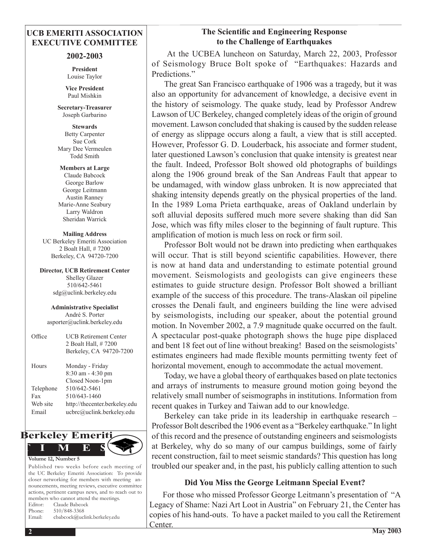#### **UCB EMERITI ASSOCIATION EXECUTIVE COMMITTEE**

#### **2002-2003**

**President** Louise Taylor

**Vice President** Paul Mishkin

**Secretary-Treasurer**  Joseph Garbarino

**Stewards** Betty Carpenter Sue Cork Mary Dee Vermeulen Todd Smith

**Members at Large** Claude Babcock George Barlow George Leitmann Austin Ranney Marie-Anne Seabury Larry Waldron Sheridan Warrick

**Mailing Address** UC Berkeley Emeriti Association 2 Boalt Hall, # 7200 Berkeley, CA 94720-7200

**Director, UCB Retirement Center** Shelley Glazer 510/642-5461 sdg@uclink.berkeley.edu

**Administrative Specialist** André S. Porter asporter@uclink.berkeley.edu

| Office    | <b>UCB Retirement Center</b><br>2 Boalt Hall, #7200<br>Berkeley, CA 94720-7200 |
|-----------|--------------------------------------------------------------------------------|
| Hours     | Monday - Friday<br>8:30 am - 4:30 pm<br>Closed Noon-1pm                        |
| Telephone | 510/642-5461                                                                   |
| Fax       | 510/643-1460                                                                   |
| Web site  | http://thecenter.berkeley.edu                                                  |
| Email     | ucbrc@uclink.berkeley.edu                                                      |
|           |                                                                                |



Published two weeks before each meeting of the UC Berkeley Emeriti Association: To provide closer networking for members with meeting announcements, meeting reviews, executive committee actions, pertinent campus news, and to reach out to members who cannot attend the meetings. Editor: Claude Babcock Phone: 510/848-3368 Email: cbabcock@uclink.berkeley.edu

#### **The Scientific and Engineering Response to the Challenge of Earthquakes**

At the UCBEA luncheon on Saturday, March 22, 2003, Professor of Seismology Bruce Bolt spoke of "Earthquakes: Hazards and Predictions."

 The great San Francisco earthquake of 1906 was a tragedy, but it was also an opportunity for advancement of knowledge, a decisive event in the history of seismology. The quake study, lead by Professor Andrew Lawson of UC Berkeley, changed completely ideas of the origin of ground movement. Lawson concluded that shaking is caused by the sudden release of energy as slippage occurs along a fault, a view that is still accepted. However, Professor G. D. Louderback, his associate and former student, later questioned Lawson's conclusion that quake intensity is greatest near the fault. Indeed, Professor Bolt showed old photographs of buildings along the 1906 ground break of the San Andreas Fault that appear to be undamaged, with window glass unbroken. It is now appreciated that shaking intensity depends greatly on the physical properties of the land. In the 1989 Loma Prieta earthquake, areas of Oakland underlain by soft alluvial deposits suffered much more severe shaking than did San Jose, which was fifty miles closer to the beginning of fault rupture. This amplification of motion is much less on rock or firm soil.

 Professor Bolt would not be drawn into predicting when earthquakes will occur. That is still beyond scientific capabilities. However, there is now at hand data and understanding to estimate potential ground movement. Seismologists and geologists can give engineers these estimates to guide structure design. Professor Bolt showed a brilliant example of the success of this procedure. The trans-Alaskan oil pipeline crosses the Denali fault, and engineers building the line were advised by seismologists, including our speaker, about the potential ground motion. In November 2002, a 7.9 magnitude quake occurred on the fault. A spectacular post-quake photograph shows the huge pipe displaced and bent 18 feet out of line without breaking! Based on the seismologists' estimates engineers had made flexible mounts permitting twenty feet of horizontal movement, enough to accommodate the actual movement.

 Today, we have a global theory of earthquakes based on plate tectonics and arrays of instruments to measure ground motion going beyond the relatively small number of seismographs in institutions. Information from recent quakes in Turkey and Taiwan add to our knowledge.

 Berkeley can take pride in its leadership in earthquake research – Professor Bolt described the 1906 event as a "Berkeley earthquake." In light of this record and the presence of outstanding engineers and seismologists at Berkeley, why do so many of our campus buildings, some of fairly recent construction, fail to meet seismic standards? This question has long troubled our speaker and, in the past, his publicly calling attention to such

#### **Did You Miss the George Leitmann Special Event?**

 For those who missed Professor George Leitmann's presentation of "A Legacy of Shame: Nazi Art Loot in Austria" on February 21, the Center has copies of his hand-outs. To have a packet mailed to you call the Retirement Center.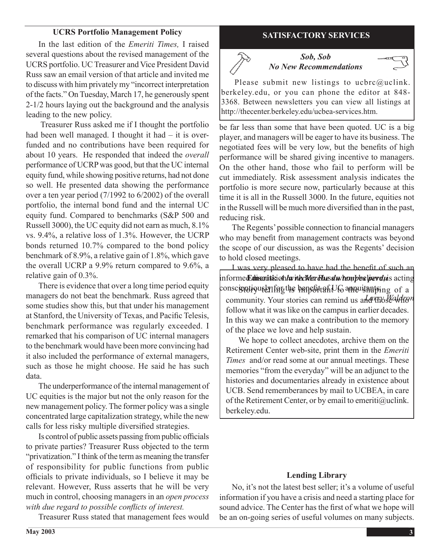#### **UCRS Portfolio Management Policy**

 In the last edition of the *Emeriti Times,* I raised several questions about the revised management of the UCRS portfolio. UCTreasurer and Vice President David Russ saw an email version of that article and invited me to discuss with him privately my "incorrect interpretation of the facts." On Tuesday, March 17, he generously spent 2-1/2 hours laying out the background and the analysis leading to the new policy.

Treasurer Russ asked me if I thought the portfolio had been well managed. I thought it had – it is overfunded and no contributions have been required for about 10 years. He responded that indeed the *overall* performance of UCRPwas good, but that the UC internal equity fund, while showing positive returns, had not done so well. He presented data showing the performance over a ten year period (7/1992 to 6/2002) of the overall portfolio, the internal bond fund and the internal UC equity fund. Compared to benchmarks (S&P 500 and Russell 3000), the UC equity did not earn as much, 8.1% vs. 9.4%, a relative loss of 1.3%. However, the UCRP bonds returned 10.7% compared to the bond policy benchmark of 8.9%, a relative gain of 1.8%, which gave the overall UCRP a 9.9% return compared to 9.6%, a relative gain of 0.3%.

 There is evidence that over a long time period equity managers do not beat the benchmark. Russ agreed that some studies show this, but that under his management at Stanford, the University of Texas, and Pacific Telesis, benchmark performance was regularly exceeded. I remarked that his comparison of UC internal managers to the benchmark would have been more convincing had it also included the performance of external managers, such as those he might choose. He said he has such data.

The underperformance of the internal management of UC equities is the major but not the only reason for the new management policy. The former policy was a single concentrated large capitalization strategy, while the new calls for less risky multiple diversified strategies.

 Is control of public assets passing frompublic officials to private parties? Treasurer Russ objected to the term "privatization." I think of the term as meaning the transfer of responsibility for public functions from public officials to private individuals, so I believe it may be relevant. However, Russ asserts that he will be very much in control, choosing managers in an *open process with due regard to possible conflicts of interest.*

 Treasurer Russ stated that management fees would

### **SATISFACTORY SERVICES**



#### *Sob, Sob No New Recommendations*

Please submit new listings to ucbrc $@$ uclink. berkeley.edu, or you can phone the editor at 848- 3368. Between newsletters you can view all listings at http://thecenter.berkeley.edu/ucbea-services.htm.

be far less than some that have been quoted. UC is a big player, and managers will be eager to have its business. The negotiated fees will be very low, but the benefits of high performance will be shared giving incentive to managers. On the other hand, those who fail to perform will be cut immediately. Risk assessment analysis indicates the portfolio is more secure now, particularly because at this time it is all in the Russell 3000. In the future, equities not in the Russell will be much more diversified than in the past, reducing risk. 

 The Regents'possible connection to financial managers who may benefit from management contracts was beyond the scope of our discussion, as was the Regents' decision to hold closed meetings.

 I was very pleased to have had the benefit of such an informed *Coinsenitisi on la riec Wer Blausd whom posiperdu* is acting  $\mathop{\rm cons}$ conscientiously for the benefit of  $U$  annuitants in g of a community. Your stories can remind us and those Waldron follow what it was like on the campus in earlier decades. In this way we can make a contribution to the memory of the place we love and help sustain.

 We hope to collect anecdotes, archive them on the Retirement Center web-site, print them in the *Emeriti Times* and/or read some at our annual meetings. These memories "from the everyday" will be an adjunct to the histories and documentaries already in existence about UCB. Send rememberances by mail to UCBEA, in care of the Retirement Center, or by email to emeriti@uclink. berkeley.edu.

#### **Lending Library**

 No, it's not the latest best seller; it's a volume of useful information if you have a crisis and need a starting place for sound advice. The Center has the first of what we hope will be an on-going series of useful volumes on many subjects.